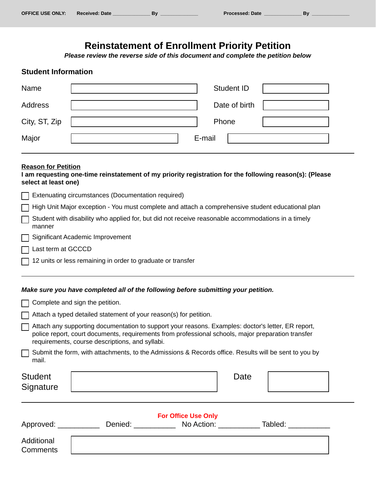# **Reinstatement of Enrollment Priority Petition**

*Please review the reverse side of this document and complete the petition below*

#### **Student Information**

| Name          | <b>Student ID</b> |  |
|---------------|-------------------|--|
| Address       | Date of birth     |  |
| City, ST, Zip | Phone             |  |
| Major         | E-mail            |  |

#### **Reason for Petition**

**I am requesting one-time reinstatement of my priority registration for the following reason(s): (Please select at least one)**

| Extenuating circumstances (Documentation required)                                                                  |
|---------------------------------------------------------------------------------------------------------------------|
| □ High Unit Major exception - You must complete and attach a comprehensive student educational plan                 |
| $\Box$ Student with disability who applied for, but did not receive reasonable accommodations in a timely<br>manner |
| $\Box$ Significant Academic Improvement                                                                             |

- Last term at GCCCD
- $\Box$  12 units or less remaining in order to graduate or transfer

#### *Make sure you have completed all of the following before submitting your petition.*

|                                                                                                                                                                                                                                                             | Complete and sign the petition.                                                                       |                                                          |      |         |  |  |  |  |  |
|-------------------------------------------------------------------------------------------------------------------------------------------------------------------------------------------------------------------------------------------------------------|-------------------------------------------------------------------------------------------------------|----------------------------------------------------------|------|---------|--|--|--|--|--|
| Attach a typed detailed statement of your reason(s) for petition.                                                                                                                                                                                           |                                                                                                       |                                                          |      |         |  |  |  |  |  |
| Attach any supporting documentation to support your reasons. Examples: doctor's letter, ER report,<br>police report, court documents, requirements from professional schools, major preparation transfer<br>requirements, course descriptions, and syllabi. |                                                                                                       |                                                          |      |         |  |  |  |  |  |
| $\mathsf{L}$<br>mail.                                                                                                                                                                                                                                       | Submit the form, with attachments, to the Admissions & Records office. Results will be sent to you by |                                                          |      |         |  |  |  |  |  |
| <b>Student</b><br>Signature                                                                                                                                                                                                                                 |                                                                                                       |                                                          | Date |         |  |  |  |  |  |
| Approved: ___________                                                                                                                                                                                                                                       | Denied:                                                                                               | <b>For Office Use Only</b><br><b>Solution</b> No Action: |      | Tabled: |  |  |  |  |  |
| Additional<br>Comments                                                                                                                                                                                                                                      |                                                                                                       |                                                          |      |         |  |  |  |  |  |